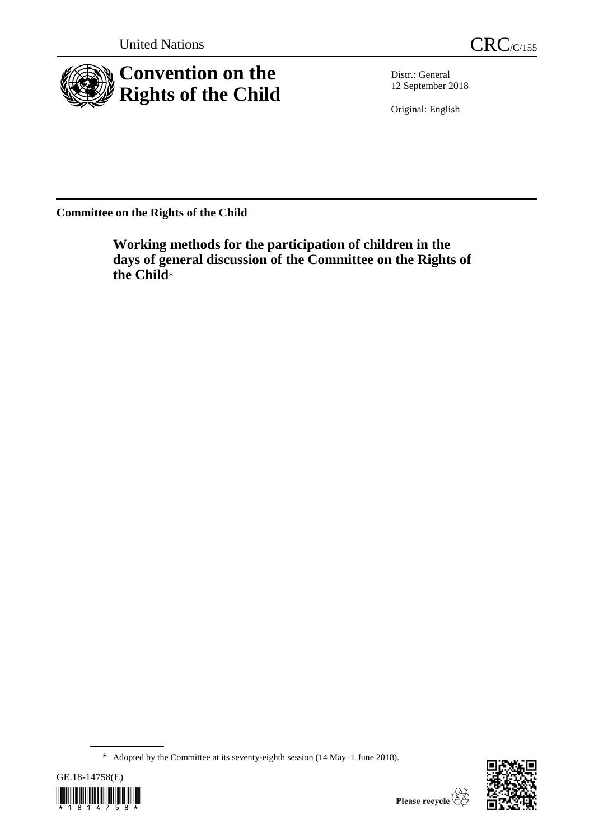



Distr.: General 12 September 2018

Original: English

**Committee on the Rights of the Child**

**Working methods for the participation of children in the days of general discussion of the Committee on the Rights of the Child**\*

<sup>\*</sup> Adopted by the Committee at its seventy-eighth session (14 May–1 June 2018).



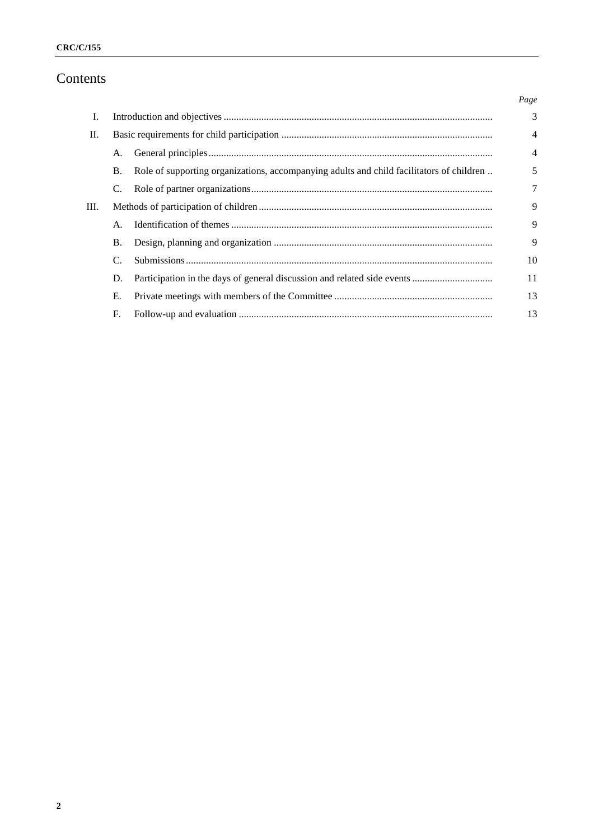# **CRC/C/155**

# Contents

|      |                |                                                                                          | Page           |
|------|----------------|------------------------------------------------------------------------------------------|----------------|
| I.   |                |                                                                                          | 3              |
| II.  |                |                                                                                          | $\overline{4}$ |
|      | A <sub>1</sub> |                                                                                          | $\overline{4}$ |
|      | <b>B.</b>      | Role of supporting organizations, accompanying adults and child facilitators of children | 5              |
|      |                |                                                                                          | 7              |
| III. |                |                                                                                          | 9              |
|      | $\mathsf{A}$ . |                                                                                          | 9              |
|      | Β.             |                                                                                          | 9              |
|      | $\mathcal{C}$  |                                                                                          | 10             |
|      | D.             |                                                                                          | 11             |
|      | Е.             |                                                                                          | 13             |
|      | F.             |                                                                                          | 13             |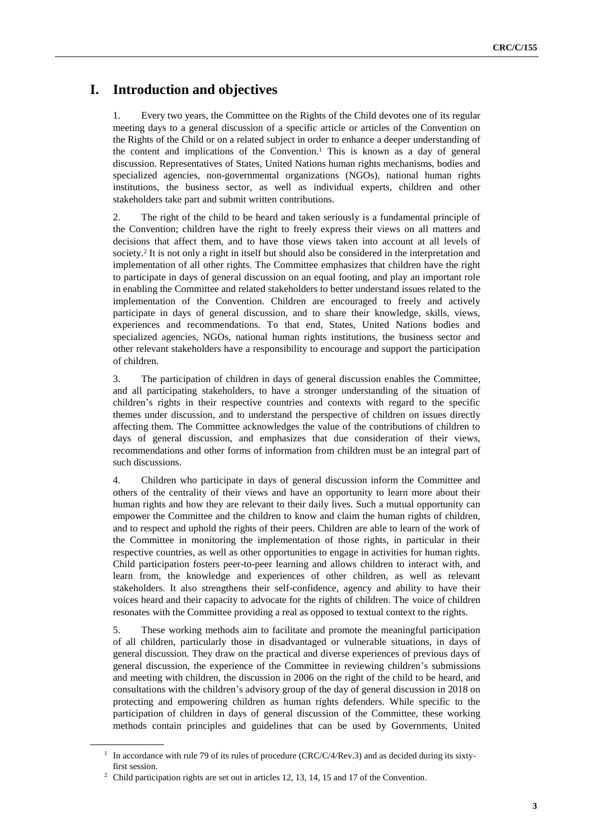# **I. Introduction and objectives**

1. Every two years, the Committee on the Rights of the Child devotes one of its regular meeting days to a general discussion of a specific article or articles of the Convention on the Rights of the Child or on a related subject in order to enhance a deeper understanding of the content and implications of the Convention.<sup>1</sup> This is known as a day of general discussion. Representatives of States, United Nations human rights mechanisms, bodies and specialized agencies, non-governmental organizations (NGOs), national human rights institutions, the business sector, as well as individual experts, children and other stakeholders take part and submit written contributions.

2. The right of the child to be heard and taken seriously is a fundamental principle of the Convention; children have the right to freely express their views on all matters and decisions that affect them, and to have those views taken into account at all levels of society.<sup>2</sup> It is not only a right in itself but should also be considered in the interpretation and implementation of all other rights. The Committee emphasizes that children have the right to participate in days of general discussion on an equal footing, and play an important role in enabling the Committee and related stakeholders to better understand issues related to the implementation of the Convention. Children are encouraged to freely and actively participate in days of general discussion, and to share their knowledge, skills, views, experiences and recommendations. To that end, States, United Nations bodies and specialized agencies, NGOs, national human rights institutions, the business sector and other relevant stakeholders have a responsibility to encourage and support the participation of children.

3. The participation of children in days of general discussion enables the Committee, and all participating stakeholders, to have a stronger understanding of the situation of children's rights in their respective countries and contexts with regard to the specific themes under discussion, and to understand the perspective of children on issues directly affecting them. The Committee acknowledges the value of the contributions of children to days of general discussion, and emphasizes that due consideration of their views, recommendations and other forms of information from children must be an integral part of such discussions.

4. Children who participate in days of general discussion inform the Committee and others of the centrality of their views and have an opportunity to learn more about their human rights and how they are relevant to their daily lives. Such a mutual opportunity can empower the Committee and the children to know and claim the human rights of children, and to respect and uphold the rights of their peers. Children are able to learn of the work of the Committee in monitoring the implementation of those rights, in particular in their respective countries, as well as other opportunities to engage in activities for human rights. Child participation fosters peer-to-peer learning and allows children to interact with, and learn from, the knowledge and experiences of other children, as well as relevant stakeholders. It also strengthens their self-confidence, agency and ability to have their voices heard and their capacity to advocate for the rights of children. The voice of children resonates with the Committee providing a real as opposed to textual context to the rights.

5. These working methods aim to facilitate and promote the meaningful participation of all children, particularly those in disadvantaged or vulnerable situations, in days of general discussion. They draw on the practical and diverse experiences of previous days of general discussion, the experience of the Committee in reviewing children's submissions and meeting with children, the discussion in 2006 on the right of the child to be heard, and consultations with the children's advisory group of the day of general discussion in 2018 on protecting and empowering children as human rights defenders. While specific to the participation of children in days of general discussion of the Committee, these working methods contain principles and guidelines that can be used by Governments, United

<sup>&</sup>lt;sup>1</sup> In accordance with rule 79 of its rules of procedure (CRC/C/4/Rev.3) and as decided during its sixtyfirst session.

<sup>&</sup>lt;sup>2</sup> Child participation rights are set out in articles 12, 13, 14, 15 and 17 of the Convention.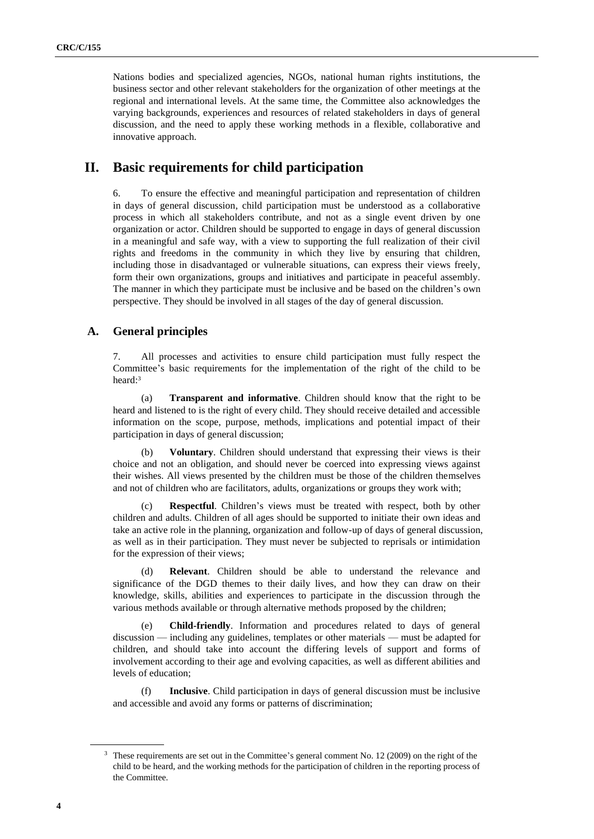Nations bodies and specialized agencies, NGOs, national human rights institutions, the business sector and other relevant stakeholders for the organization of other meetings at the regional and international levels. At the same time, the Committee also acknowledges the varying backgrounds, experiences and resources of related stakeholders in days of general discussion, and the need to apply these working methods in a flexible, collaborative and innovative approach.

# **II. Basic requirements for child participation**

6. To ensure the effective and meaningful participation and representation of children in days of general discussion, child participation must be understood as a collaborative process in which all stakeholders contribute, and not as a single event driven by one organization or actor. Children should be supported to engage in days of general discussion in a meaningful and safe way, with a view to supporting the full realization of their civil rights and freedoms in the community in which they live by ensuring that children, including those in disadvantaged or vulnerable situations, can express their views freely, form their own organizations, groups and initiatives and participate in peaceful assembly. The manner in which they participate must be inclusive and be based on the children's own perspective. They should be involved in all stages of the day of general discussion.

## **A. General principles**

7. All processes and activities to ensure child participation must fully respect the Committee's basic requirements for the implementation of the right of the child to be heard:<sup>3</sup>

(a) **Transparent and informative**. Children should know that the right to be heard and listened to is the right of every child. They should receive detailed and accessible information on the scope, purpose, methods, implications and potential impact of their participation in days of general discussion;

(b) **Voluntary**. Children should understand that expressing their views is their choice and not an obligation, and should never be coerced into expressing views against their wishes. All views presented by the children must be those of the children themselves and not of children who are facilitators, adults, organizations or groups they work with;

(c) **Respectful**. Children's views must be treated with respect, both by other children and adults. Children of all ages should be supported to initiate their own ideas and take an active role in the planning, organization and follow-up of days of general discussion, as well as in their participation. They must never be subjected to reprisals or intimidation for the expression of their views;

(d) **Relevant**. Children should be able to understand the relevance and significance of the DGD themes to their daily lives, and how they can draw on their knowledge, skills, abilities and experiences to participate in the discussion through the various methods available or through alternative methods proposed by the children;

(e) **Child-friendly**. Information and procedures related to days of general discussion — including any guidelines, templates or other materials — must be adapted for children, and should take into account the differing levels of support and forms of involvement according to their age and evolving capacities, as well as different abilities and levels of education;

Inclusive. Child participation in days of general discussion must be inclusive and accessible and avoid any forms or patterns of discrimination;

<sup>3</sup> These requirements are set out in the Committee's general comment No. 12 (2009) on the right of the child to be heard, and the working methods for the participation of children in the reporting process of the Committee.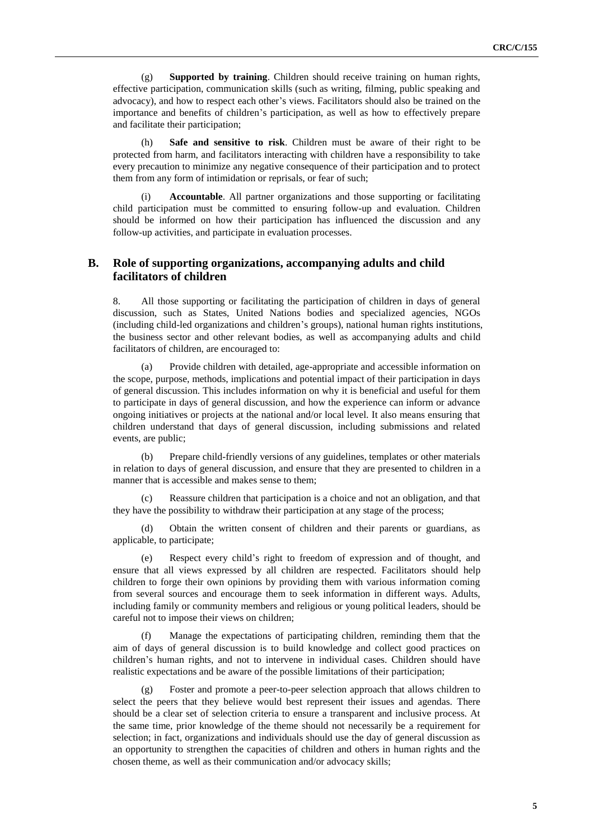(g) **Supported by training**. Children should receive training on human rights, effective participation, communication skills (such as writing, filming, public speaking and advocacy), and how to respect each other's views. Facilitators should also be trained on the importance and benefits of children's participation, as well as how to effectively prepare and facilitate their participation;

(h) **Safe and sensitive to risk**. Children must be aware of their right to be protected from harm, and facilitators interacting with children have a responsibility to take every precaution to minimize any negative consequence of their participation and to protect them from any form of intimidation or reprisals, or fear of such;

Accountable. All partner organizations and those supporting or facilitating child participation must be committed to ensuring follow-up and evaluation. Children should be informed on how their participation has influenced the discussion and any follow-up activities, and participate in evaluation processes.

## **B. Role of supporting organizations, accompanying adults and child facilitators of children**

8. All those supporting or facilitating the participation of children in days of general discussion, such as States, United Nations bodies and specialized agencies, NGOs (including child-led organizations and children's groups), national human rights institutions, the business sector and other relevant bodies, as well as accompanying adults and child facilitators of children, are encouraged to:

(a) Provide children with detailed, age-appropriate and accessible information on the scope, purpose, methods, implications and potential impact of their participation in days of general discussion. This includes information on why it is beneficial and useful for them to participate in days of general discussion, and how the experience can inform or advance ongoing initiatives or projects at the national and/or local level. It also means ensuring that children understand that days of general discussion, including submissions and related events, are public;

(b) Prepare child-friendly versions of any guidelines, templates or other materials in relation to days of general discussion, and ensure that they are presented to children in a manner that is accessible and makes sense to them;

(c) Reassure children that participation is a choice and not an obligation, and that they have the possibility to withdraw their participation at any stage of the process;

(d) Obtain the written consent of children and their parents or guardians, as applicable, to participate;

(e) Respect every child's right to freedom of expression and of thought, and ensure that all views expressed by all children are respected. Facilitators should help children to forge their own opinions by providing them with various information coming from several sources and encourage them to seek information in different ways. Adults, including family or community members and religious or young political leaders, should be careful not to impose their views on children;

(f) Manage the expectations of participating children, reminding them that the aim of days of general discussion is to build knowledge and collect good practices on children's human rights, and not to intervene in individual cases. Children should have realistic expectations and be aware of the possible limitations of their participation;

Foster and promote a peer-to-peer selection approach that allows children to select the peers that they believe would best represent their issues and agendas. There should be a clear set of selection criteria to ensure a transparent and inclusive process. At the same time, prior knowledge of the theme should not necessarily be a requirement for selection; in fact, organizations and individuals should use the day of general discussion as an opportunity to strengthen the capacities of children and others in human rights and the chosen theme, as well as their communication and/or advocacy skills;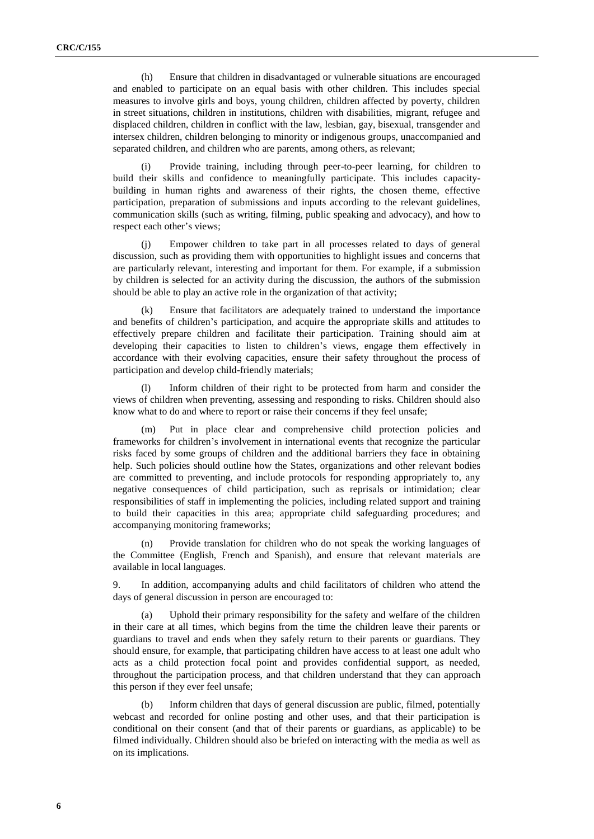(h) Ensure that children in disadvantaged or vulnerable situations are encouraged and enabled to participate on an equal basis with other children. This includes special measures to involve girls and boys, young children, children affected by poverty, children in street situations, children in institutions, children with disabilities, migrant, refugee and displaced children, children in conflict with the law, lesbian, gay, bisexual, transgender and intersex children, children belonging to minority or indigenous groups, unaccompanied and separated children, and children who are parents, among others, as relevant;

(i) Provide training, including through peer-to-peer learning, for children to build their skills and confidence to meaningfully participate. This includes capacitybuilding in human rights and awareness of their rights, the chosen theme, effective participation, preparation of submissions and inputs according to the relevant guidelines, communication skills (such as writing, filming, public speaking and advocacy), and how to respect each other's views;

(j) Empower children to take part in all processes related to days of general discussion, such as providing them with opportunities to highlight issues and concerns that are particularly relevant, interesting and important for them. For example, if a submission by children is selected for an activity during the discussion, the authors of the submission should be able to play an active role in the organization of that activity;

Ensure that facilitators are adequately trained to understand the importance and benefits of children's participation, and acquire the appropriate skills and attitudes to effectively prepare children and facilitate their participation. Training should aim at developing their capacities to listen to children's views, engage them effectively in accordance with their evolving capacities, ensure their safety throughout the process of participation and develop child-friendly materials;

(l) Inform children of their right to be protected from harm and consider the views of children when preventing, assessing and responding to risks. Children should also know what to do and where to report or raise their concerns if they feel unsafe;

(m) Put in place clear and comprehensive child protection policies and frameworks for children's involvement in international events that recognize the particular risks faced by some groups of children and the additional barriers they face in obtaining help. Such policies should outline how the States, organizations and other relevant bodies are committed to preventing, and include protocols for responding appropriately to, any negative consequences of child participation, such as reprisals or intimidation; clear responsibilities of staff in implementing the policies, including related support and training to build their capacities in this area; appropriate child safeguarding procedures; and accompanying monitoring frameworks;

(n) Provide translation for children who do not speak the working languages of the Committee (English, French and Spanish), and ensure that relevant materials are available in local languages.

9. In addition, accompanying adults and child facilitators of children who attend the days of general discussion in person are encouraged to:

(a) Uphold their primary responsibility for the safety and welfare of the children in their care at all times, which begins from the time the children leave their parents or guardians to travel and ends when they safely return to their parents or guardians. They should ensure, for example, that participating children have access to at least one adult who acts as a child protection focal point and provides confidential support, as needed, throughout the participation process, and that children understand that they can approach this person if they ever feel unsafe;

(b) Inform children that days of general discussion are public, filmed, potentially webcast and recorded for online posting and other uses, and that their participation is conditional on their consent (and that of their parents or guardians, as applicable) to be filmed individually. Children should also be briefed on interacting with the media as well as on its implications.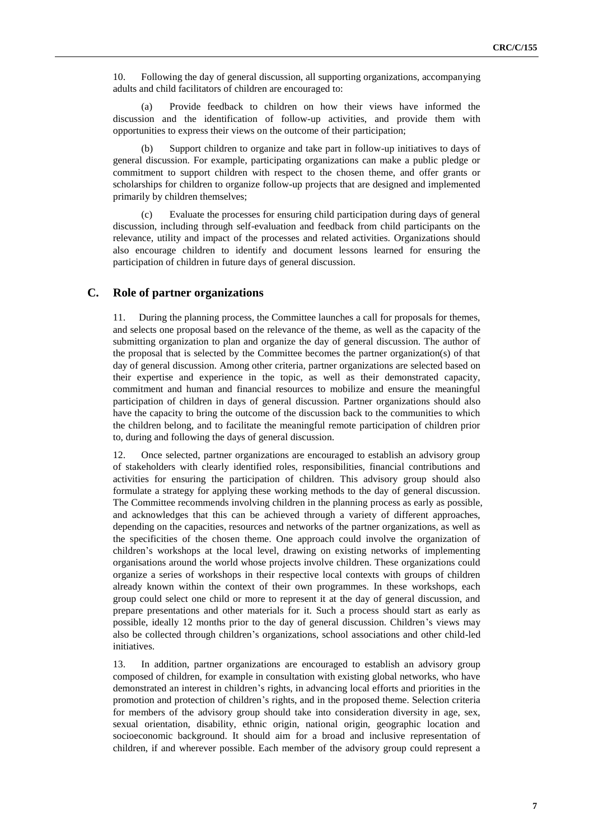10. Following the day of general discussion, all supporting organizations, accompanying adults and child facilitators of children are encouraged to:

(a) Provide feedback to children on how their views have informed the discussion and the identification of follow-up activities, and provide them with opportunities to express their views on the outcome of their participation;

(b) Support children to organize and take part in follow-up initiatives to days of general discussion. For example, participating organizations can make a public pledge or commitment to support children with respect to the chosen theme, and offer grants or scholarships for children to organize follow-up projects that are designed and implemented primarily by children themselves;

(c) Evaluate the processes for ensuring child participation during days of general discussion, including through self-evaluation and feedback from child participants on the relevance, utility and impact of the processes and related activities. Organizations should also encourage children to identify and document lessons learned for ensuring the participation of children in future days of general discussion.

# **C. Role of partner organizations**

11. During the planning process, the Committee launches a call for proposals for themes, and selects one proposal based on the relevance of the theme, as well as the capacity of the submitting organization to plan and organize the day of general discussion. The author of the proposal that is selected by the Committee becomes the partner organization(s) of that day of general discussion. Among other criteria, partner organizations are selected based on their expertise and experience in the topic, as well as their demonstrated capacity, commitment and human and financial resources to mobilize and ensure the meaningful participation of children in days of general discussion. Partner organizations should also have the capacity to bring the outcome of the discussion back to the communities to which the children belong, and to facilitate the meaningful remote participation of children prior to, during and following the days of general discussion.

12. Once selected, partner organizations are encouraged to establish an advisory group of stakeholders with clearly identified roles, responsibilities, financial contributions and activities for ensuring the participation of children. This advisory group should also formulate a strategy for applying these working methods to the day of general discussion. The Committee recommends involving children in the planning process as early as possible, and acknowledges that this can be achieved through a variety of different approaches, depending on the capacities, resources and networks of the partner organizations, as well as the specificities of the chosen theme. One approach could involve the organization of children's workshops at the local level, drawing on existing networks of implementing organisations around the world whose projects involve children. These organizations could organize a series of workshops in their respective local contexts with groups of children already known within the context of their own programmes. In these workshops, each group could select one child or more to represent it at the day of general discussion, and prepare presentations and other materials for it. Such a process should start as early as possible, ideally 12 months prior to the day of general discussion. Children's views may also be collected through children's organizations, school associations and other child-led initiatives.

13. In addition, partner organizations are encouraged to establish an advisory group composed of children, for example in consultation with existing global networks, who have demonstrated an interest in children's rights, in advancing local efforts and priorities in the promotion and protection of children's rights, and in the proposed theme. Selection criteria for members of the advisory group should take into consideration diversity in age, sex, sexual orientation, disability, ethnic origin, national origin, geographic location and socioeconomic background. It should aim for a broad and inclusive representation of children, if and wherever possible. Each member of the advisory group could represent a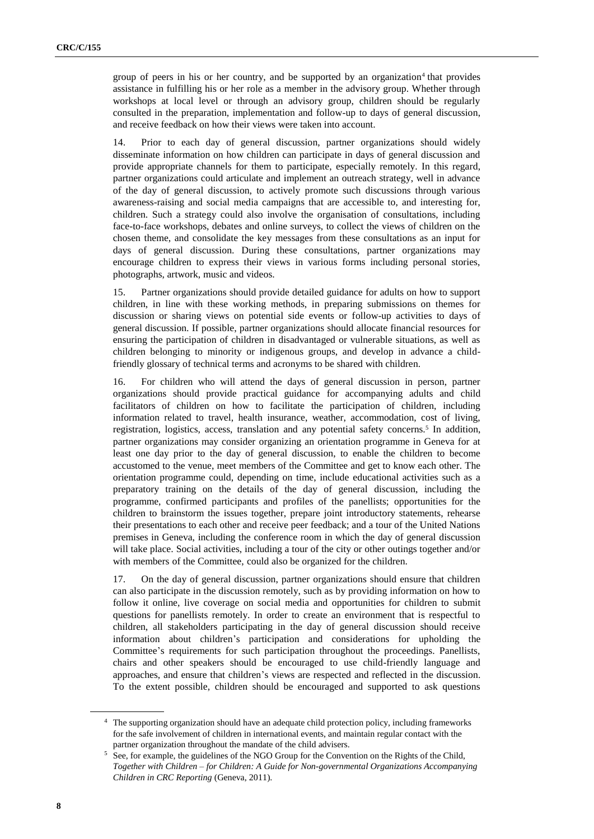group of peers in his or her country, and be supported by an organization<sup>4</sup> that provides assistance in fulfilling his or her role as a member in the advisory group. Whether through workshops at local level or through an advisory group, children should be regularly consulted in the preparation, implementation and follow-up to days of general discussion, and receive feedback on how their views were taken into account.

14. Prior to each day of general discussion, partner organizations should widely disseminate information on how children can participate in days of general discussion and provide appropriate channels for them to participate, especially remotely. In this regard, partner organizations could articulate and implement an outreach strategy, well in advance of the day of general discussion, to actively promote such discussions through various awareness-raising and social media campaigns that are accessible to, and interesting for, children. Such a strategy could also involve the organisation of consultations, including face-to-face workshops, debates and online surveys, to collect the views of children on the chosen theme, and consolidate the key messages from these consultations as an input for days of general discussion. During these consultations, partner organizations may encourage children to express their views in various forms including personal stories, photographs, artwork, music and videos.

15. Partner organizations should provide detailed guidance for adults on how to support children, in line with these working methods, in preparing submissions on themes for discussion or sharing views on potential side events or follow-up activities to days of general discussion. If possible, partner organizations should allocate financial resources for ensuring the participation of children in disadvantaged or vulnerable situations, as well as children belonging to minority or indigenous groups, and develop in advance a childfriendly glossary of technical terms and acronyms to be shared with children.

16. For children who will attend the days of general discussion in person, partner organizations should provide practical guidance for accompanying adults and child facilitators of children on how to facilitate the participation of children, including information related to travel, health insurance, weather, accommodation, cost of living, registration, logistics, access, translation and any potential safety concerns.<sup>5</sup> In addition, partner organizations may consider organizing an orientation programme in Geneva for at least one day prior to the day of general discussion, to enable the children to become accustomed to the venue, meet members of the Committee and get to know each other. The orientation programme could, depending on time, include educational activities such as a preparatory training on the details of the day of general discussion, including the programme, confirmed participants and profiles of the panellists; opportunities for the children to brainstorm the issues together, prepare joint introductory statements, rehearse their presentations to each other and receive peer feedback; and a tour of the United Nations premises in Geneva, including the conference room in which the day of general discussion will take place. Social activities, including a tour of the city or other outings together and/or with members of the Committee, could also be organized for the children.

17. On the day of general discussion, partner organizations should ensure that children can also participate in the discussion remotely, such as by providing information on how to follow it online, live coverage on social media and opportunities for children to submit questions for panellists remotely. In order to create an environment that is respectful to children, all stakeholders participating in the day of general discussion should receive information about children's participation and considerations for upholding the Committee's requirements for such participation throughout the proceedings. Panellists, chairs and other speakers should be encouraged to use child-friendly language and approaches, and ensure that children's views are respected and reflected in the discussion. To the extent possible, children should be encouraged and supported to ask questions

<sup>&</sup>lt;sup>4</sup> The supporting organization should have an adequate child protection policy, including frameworks for the safe involvement of children in international events, and maintain regular contact with the partner organization throughout the mandate of the child advisers.

<sup>5</sup> See, for example, the guidelines of the NGO Group for the Convention on the Rights of the Child, *Together with Children – for Children: A Guide for Non-governmental Organizations Accompanying Children in CRC Reporting* (Geneva, 2011).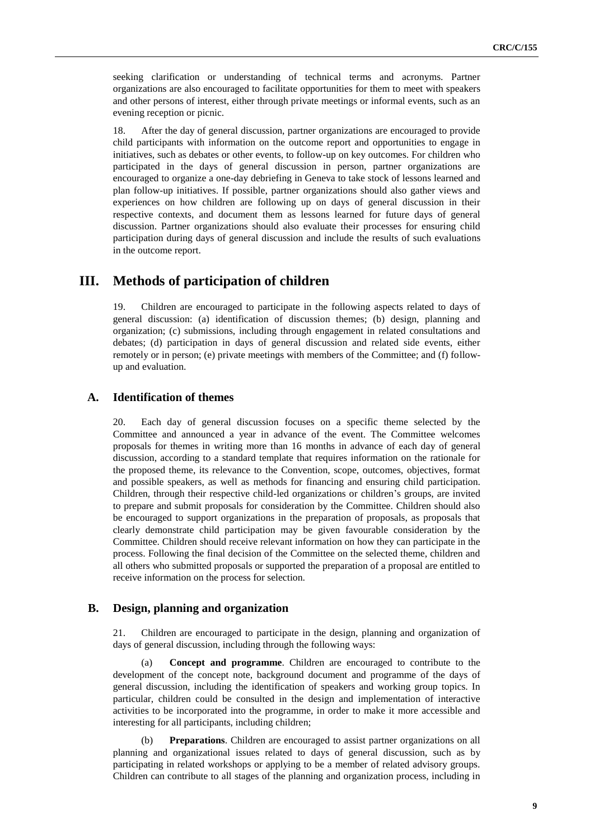seeking clarification or understanding of technical terms and acronyms. Partner organizations are also encouraged to facilitate opportunities for them to meet with speakers and other persons of interest, either through private meetings or informal events, such as an evening reception or picnic.

18. After the day of general discussion, partner organizations are encouraged to provide child participants with information on the outcome report and opportunities to engage in initiatives, such as debates or other events, to follow-up on key outcomes. For children who participated in the days of general discussion in person, partner organizations are encouraged to organize a one-day debriefing in Geneva to take stock of lessons learned and plan follow-up initiatives. If possible, partner organizations should also gather views and experiences on how children are following up on days of general discussion in their respective contexts, and document them as lessons learned for future days of general discussion. Partner organizations should also evaluate their processes for ensuring child participation during days of general discussion and include the results of such evaluations in the outcome report.

# **III. Methods of participation of children**

19. Children are encouraged to participate in the following aspects related to days of general discussion: (a) identification of discussion themes; (b) design, planning and organization; (c) submissions, including through engagement in related consultations and debates; (d) participation in days of general discussion and related side events, either remotely or in person; (e) private meetings with members of the Committee; and (f) followup and evaluation.

## **A. Identification of themes**

20. Each day of general discussion focuses on a specific theme selected by the Committee and announced a year in advance of the event. The Committee welcomes proposals for themes in writing more than 16 months in advance of each day of general discussion, according to a standard template that requires information on the rationale for the proposed theme, its relevance to the Convention, scope, outcomes, objectives, format and possible speakers, as well as methods for financing and ensuring child participation. Children, through their respective child-led organizations or children's groups, are invited to prepare and submit proposals for consideration by the Committee. Children should also be encouraged to support organizations in the preparation of proposals, as proposals that clearly demonstrate child participation may be given favourable consideration by the Committee. Children should receive relevant information on how they can participate in the process. Following the final decision of the Committee on the selected theme, children and all others who submitted proposals or supported the preparation of a proposal are entitled to receive information on the process for selection.

#### **B. Design, planning and organization**

21. Children are encouraged to participate in the design, planning and organization of days of general discussion, including through the following ways:

(a) **Concept and programme**. Children are encouraged to contribute to the development of the concept note, background document and programme of the days of general discussion, including the identification of speakers and working group topics. In particular, children could be consulted in the design and implementation of interactive activities to be incorporated into the programme, in order to make it more accessible and interesting for all participants, including children;

(b) **Preparations**. Children are encouraged to assist partner organizations on all planning and organizational issues related to days of general discussion, such as by participating in related workshops or applying to be a member of related advisory groups. Children can contribute to all stages of the planning and organization process, including in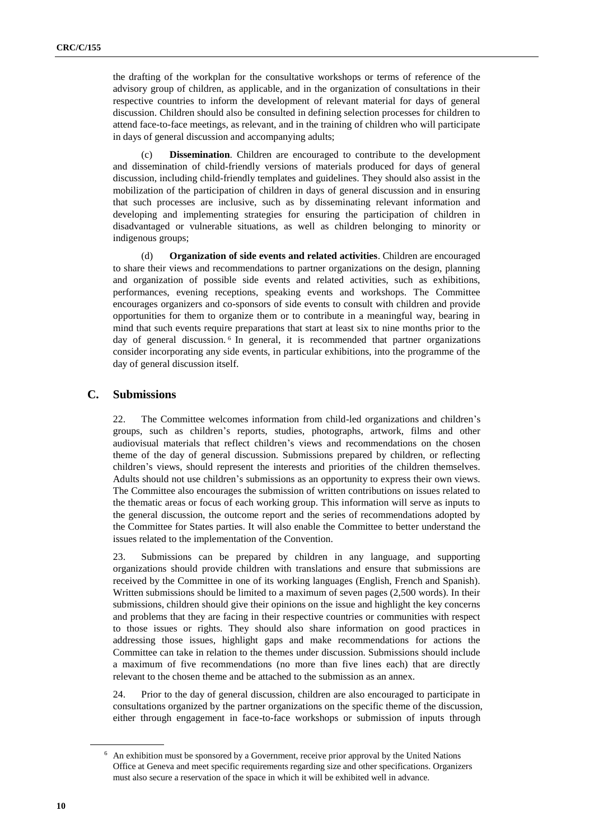the drafting of the workplan for the consultative workshops or terms of reference of the advisory group of children, as applicable, and in the organization of consultations in their respective countries to inform the development of relevant material for days of general discussion. Children should also be consulted in defining selection processes for children to attend face-to-face meetings, as relevant, and in the training of children who will participate in days of general discussion and accompanying adults;

(c) **Dissemination**. Children are encouraged to contribute to the development and dissemination of child-friendly versions of materials produced for days of general discussion, including child-friendly templates and guidelines. They should also assist in the mobilization of the participation of children in days of general discussion and in ensuring that such processes are inclusive, such as by disseminating relevant information and developing and implementing strategies for ensuring the participation of children in disadvantaged or vulnerable situations, as well as children belonging to minority or indigenous groups;

(d) **Organization of side events and related activities**. Children are encouraged to share their views and recommendations to partner organizations on the design, planning and organization of possible side events and related activities, such as exhibitions, performances, evening receptions, speaking events and workshops. The Committee encourages organizers and co-sponsors of side events to consult with children and provide opportunities for them to organize them or to contribute in a meaningful way, bearing in mind that such events require preparations that start at least six to nine months prior to the day of general discussion.<sup>6</sup> In general, it is recommended that partner organizations consider incorporating any side events, in particular exhibitions, into the programme of the day of general discussion itself.

#### **C. Submissions**

22. The Committee welcomes information from child-led organizations and children's groups, such as children's reports, studies, photographs, artwork, films and other audiovisual materials that reflect children's views and recommendations on the chosen theme of the day of general discussion. Submissions prepared by children, or reflecting children's views, should represent the interests and priorities of the children themselves. Adults should not use children's submissions as an opportunity to express their own views. The Committee also encourages the submission of written contributions on issues related to the thematic areas or focus of each working group. This information will serve as inputs to the general discussion, the outcome report and the series of recommendations adopted by the Committee for States parties. It will also enable the Committee to better understand the issues related to the implementation of the Convention.

23. Submissions can be prepared by children in any language, and supporting organizations should provide children with translations and ensure that submissions are received by the Committee in one of its working languages (English, French and Spanish). Written submissions should be limited to a maximum of seven pages (2,500 words). In their submissions, children should give their opinions on the issue and highlight the key concerns and problems that they are facing in their respective countries or communities with respect to those issues or rights. They should also share information on good practices in addressing those issues, highlight gaps and make recommendations for actions the Committee can take in relation to the themes under discussion. Submissions should include a maximum of five recommendations (no more than five lines each) that are directly relevant to the chosen theme and be attached to the submission as an annex.

24. Prior to the day of general discussion, children are also encouraged to participate in consultations organized by the partner organizations on the specific theme of the discussion, either through engagement in face-to-face workshops or submission of inputs through

 $6\text{ A}$ n exhibition must be sponsored by a Government, receive prior approval by the United Nations Office at Geneva and meet specific requirements regarding size and other specifications. Organizers must also secure a reservation of the space in which it will be exhibited well in advance.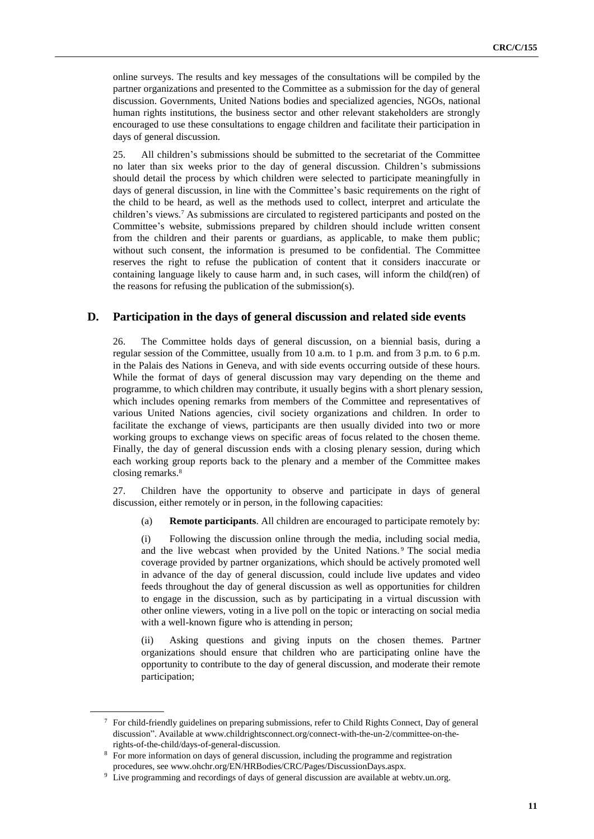online surveys. The results and key messages of the consultations will be compiled by the partner organizations and presented to the Committee as a submission for the day of general discussion. Governments, United Nations bodies and specialized agencies, NGOs, national human rights institutions, the business sector and other relevant stakeholders are strongly encouraged to use these consultations to engage children and facilitate their participation in days of general discussion.

25. All children's submissions should be submitted to the secretariat of the Committee no later than six weeks prior to the day of general discussion. Children's submissions should detail the process by which children were selected to participate meaningfully in days of general discussion, in line with the Committee's basic requirements on the right of the child to be heard, as well as the methods used to collect, interpret and articulate the children's views.<sup>7</sup> As submissions are circulated to registered participants and posted on the Committee's website, submissions prepared by children should include written consent from the children and their parents or guardians, as applicable, to make them public; without such consent, the information is presumed to be confidential. The Committee reserves the right to refuse the publication of content that it considers inaccurate or containing language likely to cause harm and, in such cases, will inform the child(ren) of the reasons for refusing the publication of the submission(s).

### **D. Participation in the days of general discussion and related side events**

26. The Committee holds days of general discussion, on a biennial basis, during a regular session of the Committee, usually from 10 a.m. to 1 p.m. and from 3 p.m. to 6 p.m. in the Palais des Nations in Geneva, and with side events occurring outside of these hours. While the format of days of general discussion may vary depending on the theme and programme, to which children may contribute, it usually begins with a short plenary session, which includes opening remarks from members of the Committee and representatives of various United Nations agencies, civil society organizations and children. In order to facilitate the exchange of views, participants are then usually divided into two or more working groups to exchange views on specific areas of focus related to the chosen theme. Finally, the day of general discussion ends with a closing plenary session, during which each working group reports back to the plenary and a member of the Committee makes closing remarks.<sup>8</sup>

27. Children have the opportunity to observe and participate in days of general discussion, either remotely or in person, in the following capacities:

(a) **Remote participants**. All children are encouraged to participate remotely by:

(i) Following the discussion online through the media, including social media, and the live webcast when provided by the United Nations. <sup>9</sup> The social media coverage provided by partner organizations, which should be actively promoted well in advance of the day of general discussion, could include live updates and video feeds throughout the day of general discussion as well as opportunities for children to engage in the discussion, such as by participating in a virtual discussion with other online viewers, voting in a live poll on the topic or interacting on social media with a well-known figure who is attending in person;

(ii) Asking questions and giving inputs on the chosen themes. Partner organizations should ensure that children who are participating online have the opportunity to contribute to the day of general discussion, and moderate their remote participation;

<sup>7</sup> For child-friendly guidelines on preparing submissions, refer to Child Rights Connect, Day of general discussion". Available at www.childrightsconnect.org/connect-with-the-un-2/committee-on-therights-of-the-child/days-of-general-discussion.

<sup>8</sup> For more information on days of general discussion, including the programme and registration procedures, see www.ohchr.org/EN/HRBodies/CRC/Pages/DiscussionDays.aspx.

<sup>&</sup>lt;sup>9</sup> Live programming and recordings of days of general discussion are available at webtv.un.org.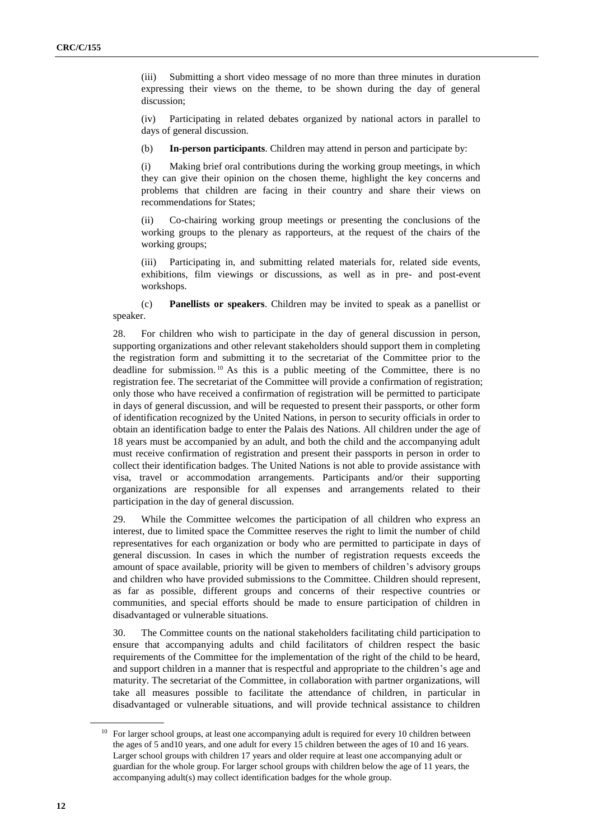(iii) Submitting a short video message of no more than three minutes in duration expressing their views on the theme, to be shown during the day of general discussion;

(iv) Participating in related debates organized by national actors in parallel to days of general discussion.

(b) **In-person participants**. Children may attend in person and participate by:

(i) Making brief oral contributions during the working group meetings, in which they can give their opinion on the chosen theme, highlight the key concerns and problems that children are facing in their country and share their views on recommendations for States;

(ii) Co-chairing working group meetings or presenting the conclusions of the working groups to the plenary as rapporteurs, at the request of the chairs of the working groups;

(iii) Participating in, and submitting related materials for, related side events, exhibitions, film viewings or discussions, as well as in pre- and post-event workshops.

(c) **Panellists or speakers**. Children may be invited to speak as a panellist or speaker.

28. For children who wish to participate in the day of general discussion in person, supporting organizations and other relevant stakeholders should support them in completing the registration form and submitting it to the secretariat of the Committee prior to the deadline for submission. <sup>10</sup> As this is a public meeting of the Committee, there is no registration fee. The secretariat of the Committee will provide a confirmation of registration; only those who have received a confirmation of registration will be permitted to participate in days of general discussion, and will be requested to present their passports, or other form of identification recognized by the United Nations, in person to security officials in order to obtain an identification badge to enter the Palais des Nations. All children under the age of 18 years must be accompanied by an adult, and both the child and the accompanying adult must receive confirmation of registration and present their passports in person in order to collect their identification badges. The United Nations is not able to provide assistance with visa, travel or accommodation arrangements. Participants and/or their supporting organizations are responsible for all expenses and arrangements related to their participation in the day of general discussion.

29. While the Committee welcomes the participation of all children who express an interest, due to limited space the Committee reserves the right to limit the number of child representatives for each organization or body who are permitted to participate in days of general discussion. In cases in which the number of registration requests exceeds the amount of space available, priority will be given to members of children's advisory groups and children who have provided submissions to the Committee. Children should represent, as far as possible, different groups and concerns of their respective countries or communities, and special efforts should be made to ensure participation of children in disadvantaged or vulnerable situations.

30. The Committee counts on the national stakeholders facilitating child participation to ensure that accompanying adults and child facilitators of children respect the basic requirements of the Committee for the implementation of the right of the child to be heard, and support children in a manner that is respectful and appropriate to the children's age and maturity. The secretariat of the Committee, in collaboration with partner organizations, will take all measures possible to facilitate the attendance of children, in particular in disadvantaged or vulnerable situations, and will provide technical assistance to children

<sup>&</sup>lt;sup>10</sup> For larger school groups, at least one accompanying adult is required for every 10 children between the ages of 5 and10 years, and one adult for every 15 children between the ages of 10 and 16 years. Larger school groups with children 17 years and older require at least one accompanying adult or guardian for the whole group. For larger school groups with children below the age of 11 years, the accompanying adult(s) may collect identification badges for the whole group.